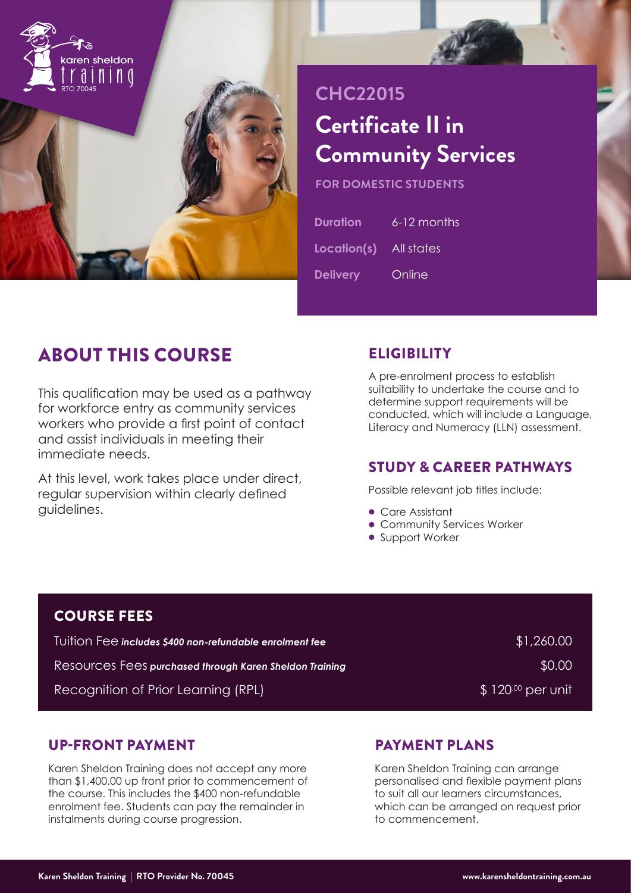

# **CHC22015 Certificate II in Community Services**

**FOR DOMESTIC STUDENTS**

| <b>Duration</b>        | 6-12 months |
|------------------------|-------------|
| Location(s) All states |             |
| <b>Delivery</b>        | Online      |

# ABOUT THIS COURSE

This qualification may be used as a pathway for workforce entry as community services workers who provide a first point of contact and assist individuals in meeting their immediate needs.

At this level, work takes place under direct, regular supervision within clearly defined guidelines.

# **ELIGIBILITY**

A pre-enrolment process to establish suitability to undertake the course and to determine support requirements will be conducted, which will include a Language, Literacy and Numeracy (LLN) assessment.

# STUDY & CAREER PATHWAYS

Possible relevant job titles include:

- Care Assistant
- Community Services Worker
- Support Worker

| <b>COURSE FEES</b>                                              |                   |
|-----------------------------------------------------------------|-------------------|
| <u>Tuition Fee includes \$400 non-refundable enrolment fee </u> | \$1,260.00        |
| Resources Fees purchased through Karen Sheldon Training         | \$0.00            |
| Recognition of Prior Learning (RPL)                             | $$120\%$ per unit |

### UP-FRONT PAYMENT

Karen Sheldon Training does not accept any more than \$1,400.00 up front prior to commencement of the course. This includes the \$400 non-refundable enrolment fee. Students can pay the remainder in instalments during course progression.

# PAYMENT PLANS

Karen Sheldon Training can arrange personalised and flexible payment plans to suit all our learners circumstances, which can be arranged on request prior to commencement.